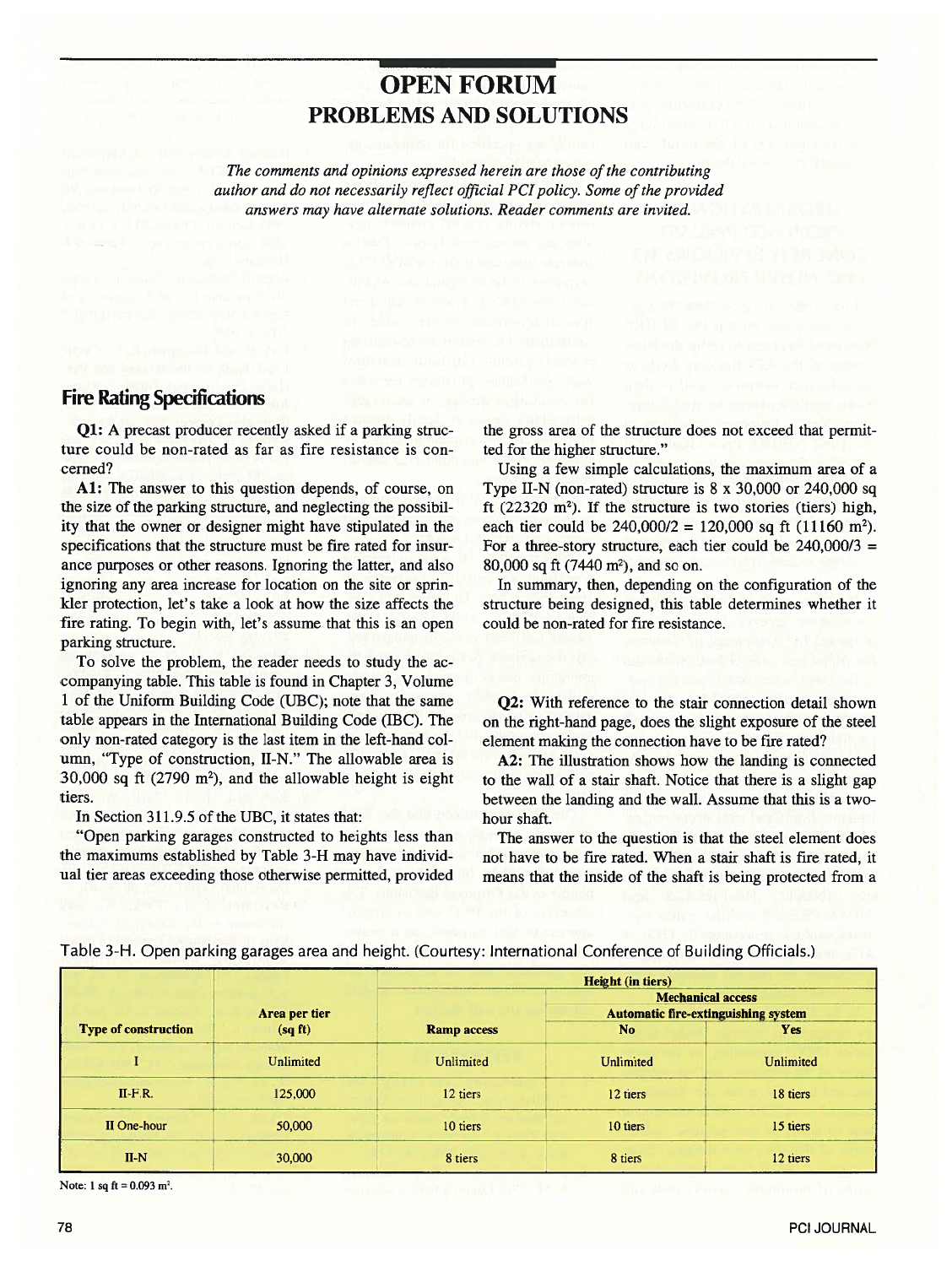## OPEN FORUMPROBLEMS AND SOLUTIONS

The comments and opinions expressed herein are those of the contributing author and do not necessarily reflect official PCI policy. Some of the provided answers may have alternate solutions. Reader comments are invited.

## Fire Rating Specifications

Qi: A precas<sup>t</sup> producer recently asked if <sup>a</sup> parking struc ture could be non-rated as far as fire resistance is con cerned?

Al: The answer to this question depends, of course, on the size of the parking structure, and neglecting the possibil ity that the owner or designer might have stipulated in the specifications that the structure must be fire rated for insur ance purposes or other reasons. Ignoring the latter, and also ignoring any area increase for location on the site or sprin kler protection, let's take <sup>a</sup> look at how the size affects the fire rating. To begin with, let's assume that this is an open parking structure.

To solve the problem, the reader needs to study the ac companying table. This table is found in Chapter 3, Volume 1 of the Uniform Building Code (UBC); note that the same table appears in the International Building Code (IBC). The only non-rated category is the last item in the left-hand col umn, "Type of construction, II-N." The allowable area is 30,000 sq ft (2790 m2), and the allowable height is eight tiers.

In Section 311.9.5 of the UBC, it states that

"Open parking garages constructed to heights less than the maximums established by Table 3-H may have individ ual tier areas exceeding those otherwise permitted, provided

the gross area of the structure does not exceed that permit ted for the higher structure.'

Using <sup>a</sup> few simple calculations, the maximum area of <sup>a</sup> Type II-N (non-rated) structure is  $8 \times 30,000$  or 240,000 sq ft  $(22320 \text{ m}^2)$ . If the structure is two stories (tiers) high each tier could be 240,000/2 = 120,000 sq ft  $(11160 \text{ m}^2)$ . For a three-story structure, each tier could be 240,000/3 <sup>=</sup> 80,000 sq ft (7440 m<sup>2</sup>), and so on. **Heffer the Contrict Contributed Contributed Contributed Comments are invisor-<br>
Comments are invisor-<br>
area of the structure."<br>
area of the structure."<br>
a few simple calcu<br>
a few simple calcu<br>
a few simple calcu<br>
a few sim** 

In summary, then, depending on the configuration of the structure being designed, this table determines whether it could be non-rated for fire resistance.

Q2: With reference to the stair connection detail shown on the right-hand page, does the slight exposure of the steel element making the connection have to be fire rated?

A2: The illustration shows how the landing is connected to the wall of a stair shaft. Notice that there is <sup>a</sup> slight gap between the landing and the wall. Assume that this is <sup>a</sup> twohour shaft.

The answer to the question is that the steel element does not have to be fire rated. When <sup>a</sup> stair shaft is fire rated, it means that the inside of the shaft is being protected from <sup>a</sup>

| <b>Type of construction</b> | Area per tier<br>(sqft) | Height (in tiers)  |                                                                        |           |
|-----------------------------|-------------------------|--------------------|------------------------------------------------------------------------|-----------|
|                             |                         | <b>Ramp access</b> | <b>Mechanical access</b><br><b>Automatic fire-extinguishing system</b> |           |
|                             |                         |                    |                                                                        |           |
|                             |                         |                    |                                                                        | Unlimited |
| $II-F.R.$                   | 125,000                 | 12 tiers           | 12 tiers                                                               | 18 tiers  |
| II One-hour                 | 50,000                  | 10 tiers           | 10 tiers                                                               | 15 tiers  |
| $II-N$                      | 30,000                  | 8 tiers            | 8 tiers                                                                | 12 tiers  |

Table 3-H. Open parking garages area and height. (Courtesy: International Conference of Building Officials.)

Note: 1 sq ft =  $0.093$  m<sup>2</sup>.